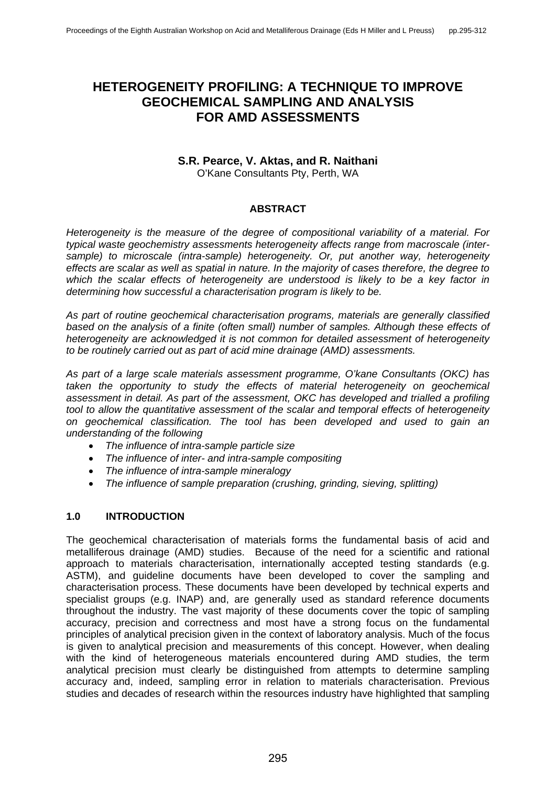# **HETEROGENEITY PROFILING: A TECHNIQUE TO IMPROVE GEOCHEMICAL SAMPLING AND ANALYSIS FOR AMD ASSESSMENTS**

#### **S.R. Pearce, V. Aktas, and R. Naithani** O'Kane Consultants Pty, Perth, WA

### **ABSTRACT**

*Heterogeneity is the measure of the degree of compositional variability of a material. For typical waste geochemistry assessments heterogeneity affects range from macroscale (intersample) to microscale (intra-sample) heterogeneity. Or, put another way, heterogeneity effects are scalar as well as spatial in nature. In the majority of cases therefore, the degree to which the scalar effects of heterogeneity are understood is likely to be a key factor in determining how successful a characterisation program is likely to be.* 

*As part of routine geochemical characterisation programs, materials are generally classified based on the analysis of a finite (often small) number of samples. Although these effects of heterogeneity are acknowledged it is not common for detailed assessment of heterogeneity to be routinely carried out as part of acid mine drainage (AMD) assessments.* 

*As part of a large scale materials assessment programme, O'kane Consultants (OKC) has*  taken the opportunity to study the effects of material heterogeneity on geochemical *assessment in detail. As part of the assessment, OKC has developed and trialled a profiling tool to allow the quantitative assessment of the scalar and temporal effects of heterogeneity on geochemical classification. The tool has been developed and used to gain an understanding of the following* 

- *The influence of intra-sample particle size*
- *The influence of inter- and intra-sample compositing*
- *The influence of intra-sample mineralogy*
- *The influence of sample preparation (crushing, grinding, sieving, splitting)*

### **1.0 INTRODUCTION**

The geochemical characterisation of materials forms the fundamental basis of acid and metalliferous drainage (AMD) studies. Because of the need for a scientific and rational approach to materials characterisation, internationally accepted testing standards (e.g. ASTM), and guideline documents have been developed to cover the sampling and characterisation process. These documents have been developed by technical experts and specialist groups (e.g. INAP) and, are generally used as standard reference documents throughout the industry. The vast majority of these documents cover the topic of sampling accuracy, precision and correctness and most have a strong focus on the fundamental principles of analytical precision given in the context of laboratory analysis. Much of the focus is given to analytical precision and measurements of this concept. However, when dealing with the kind of heterogeneous materials encountered during AMD studies, the term analytical precision must clearly be distinguished from attempts to determine sampling accuracy and, indeed, sampling error in relation to materials characterisation. Previous studies and decades of research within the resources industry have highlighted that sampling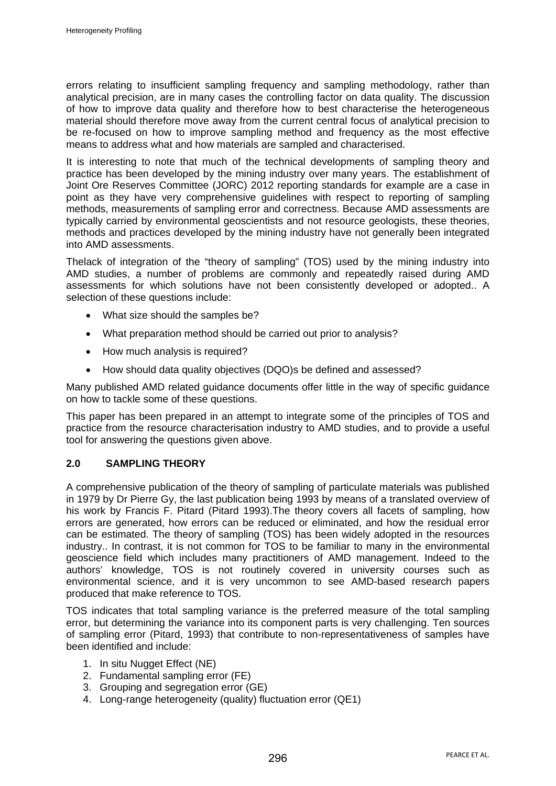errors relating to insufficient sampling frequency and sampling methodology, rather than analytical precision, are in many cases the controlling factor on data quality. The discussion of how to improve data quality and therefore how to best characterise the heterogeneous material should therefore move away from the current central focus of analytical precision to be re-focused on how to improve sampling method and frequency as the most effective means to address what and how materials are sampled and characterised.

It is interesting to note that much of the technical developments of sampling theory and practice has been developed by the mining industry over many years. The establishment of Joint Ore Reserves Committee (JORC) 2012 reporting standards for example are a case in point as they have very comprehensive guidelines with respect to reporting of sampling methods, measurements of sampling error and correctness. Because AMD assessments are typically carried by environmental geoscientists and not resource geologists, these theories, methods and practices developed by the mining industry have not generally been integrated into AMD assessments.

Thelack of integration of the "theory of sampling" (TOS) used by the mining industry into AMD studies, a number of problems are commonly and repeatedly raised during AMD assessments for which solutions have not been consistently developed or adopted.. A selection of these questions include:

- What size should the samples be?
- What preparation method should be carried out prior to analysis?
- How much analysis is required?
- How should data quality objectives (DQO)s be defined and assessed?

Many published AMD related guidance documents offer little in the way of specific guidance on how to tackle some of these questions.

This paper has been prepared in an attempt to integrate some of the principles of TOS and practice from the resource characterisation industry to AMD studies, and to provide a useful tool for answering the questions given above.

# **2.0 SAMPLING THEORY**

A comprehensive publication of the theory of sampling of particulate materials was published in 1979 by Dr Pierre Gy, the last publication being 1993 by means of a translated overview of his work by Francis F. Pitard (Pitard 1993).The theory covers all facets of sampling, how errors are generated, how errors can be reduced or eliminated, and how the residual error can be estimated. The theory of sampling (TOS) has been widely adopted in the resources industry.. In contrast, it is not common for TOS to be familiar to many in the environmental geoscience field which includes many practitioners of AMD management. Indeed to the authors' knowledge, TOS is not routinely covered in university courses such as environmental science, and it is very uncommon to see AMD-based research papers produced that make reference to TOS.

TOS indicates that total sampling variance is the preferred measure of the total sampling error, but determining the variance into its component parts is very challenging. Ten sources of sampling error (Pitard, 1993) that contribute to non-representativeness of samples have been identified and include:

- 1. In situ Nugget Effect (NE)
- 2. Fundamental sampling error (FE)
- 3. Grouping and segregation error (GE)
- 4. Long-range heterogeneity (quality) fluctuation error (QE1)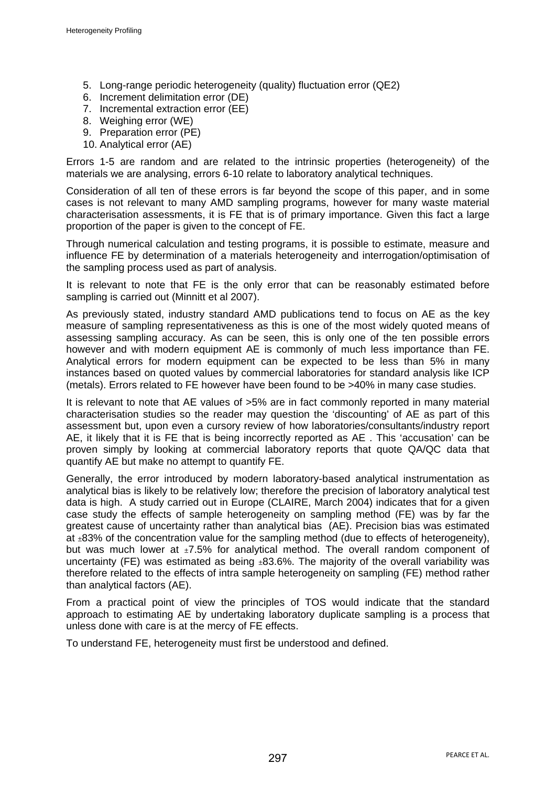- 5. Long-range periodic heterogeneity (quality) fluctuation error (QE2)
- 6. Increment delimitation error (DE)
- 7. Incremental extraction error (EE)
- 8. Weighing error (WE)
- 9. Preparation error (PE)
- 10. Analytical error (AE)

Errors 1-5 are random and are related to the intrinsic properties (heterogeneity) of the materials we are analysing, errors 6-10 relate to laboratory analytical techniques.

Consideration of all ten of these errors is far beyond the scope of this paper, and in some cases is not relevant to many AMD sampling programs, however for many waste material characterisation assessments, it is FE that is of primary importance. Given this fact a large proportion of the paper is given to the concept of FE.

Through numerical calculation and testing programs, it is possible to estimate, measure and influence FE by determination of a materials heterogeneity and interrogation/optimisation of the sampling process used as part of analysis.

It is relevant to note that FE is the only error that can be reasonably estimated before sampling is carried out (Minnitt et al 2007).

As previously stated, industry standard AMD publications tend to focus on AE as the key measure of sampling representativeness as this is one of the most widely quoted means of assessing sampling accuracy. As can be seen, this is only one of the ten possible errors however and with modern equipment AE is commonly of much less importance than FE. Analytical errors for modern equipment can be expected to be less than 5% in many instances based on quoted values by commercial laboratories for standard analysis like ICP (metals). Errors related to FE however have been found to be >40% in many case studies.

It is relevant to note that AE values of >5% are in fact commonly reported in many material characterisation studies so the reader may question the 'discounting' of AE as part of this assessment but, upon even a cursory review of how laboratories/consultants/industry report AE, it likely that it is FE that is being incorrectly reported as AE . This 'accusation' can be proven simply by looking at commercial laboratory reports that quote QA/QC data that quantify AE but make no attempt to quantify FE.

Generally, the error introduced by modern laboratory-based analytical instrumentation as analytical bias is likely to be relatively low; therefore the precision of laboratory analytical test data is high. A study carried out in Europe (CLAIRE, March 2004) indicates that for a given case study the effects of sample heterogeneity on sampling method (FE) was by far the greatest cause of uncertainty rather than analytical bias (AE). Precision bias was estimated at  $\pm 83\%$  of the concentration value for the sampling method (due to effects of heterogeneity), but was much lower at  $\pm 7.5\%$  for analytical method. The overall random component of uncertainty (FE) was estimated as being  $±83.6\%$ . The majority of the overall variability was therefore related to the effects of intra sample heterogeneity on sampling (FE) method rather than analytical factors (AE).

From a practical point of view the principles of TOS would indicate that the standard approach to estimating AE by undertaking laboratory duplicate sampling is a process that unless done with care is at the mercy of FE effects.

To understand FE, heterogeneity must first be understood and defined.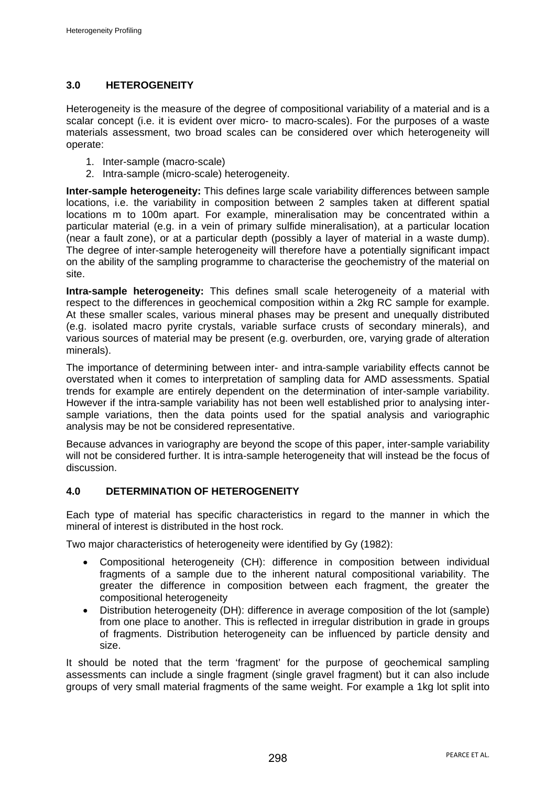# **3.0 HETEROGENEITY**

Heterogeneity is the measure of the degree of compositional variability of a material and is a scalar concept (i.e. it is evident over micro- to macro-scales). For the purposes of a waste materials assessment, two broad scales can be considered over which heterogeneity will operate:

- 1. Inter-sample (macro-scale)
- 2. Intra-sample (micro-scale) heterogeneity.

**Inter-sample heterogeneity:** This defines large scale variability differences between sample locations, i.e. the variability in composition between 2 samples taken at different spatial locations m to 100m apart. For example, mineralisation may be concentrated within a particular material (e.g. in a vein of primary sulfide mineralisation), at a particular location (near a fault zone), or at a particular depth (possibly a layer of material in a waste dump). The degree of inter-sample heterogeneity will therefore have a potentially significant impact on the ability of the sampling programme to characterise the geochemistry of the material on site.

**Intra-sample heterogeneity:** This defines small scale heterogeneity of a material with respect to the differences in geochemical composition within a 2kg RC sample for example. At these smaller scales, various mineral phases may be present and unequally distributed (e.g. isolated macro pyrite crystals, variable surface crusts of secondary minerals), and various sources of material may be present (e.g. overburden, ore, varying grade of alteration minerals).

The importance of determining between inter- and intra-sample variability effects cannot be overstated when it comes to interpretation of sampling data for AMD assessments. Spatial trends for example are entirely dependent on the determination of inter-sample variability. However if the intra-sample variability has not been well established prior to analysing intersample variations, then the data points used for the spatial analysis and variographic analysis may be not be considered representative.

Because advances in variography are beyond the scope of this paper, inter-sample variability will not be considered further. It is intra-sample heterogeneity that will instead be the focus of discussion.

# **4.0 DETERMINATION OF HETEROGENEITY**

Each type of material has specific characteristics in regard to the manner in which the mineral of interest is distributed in the host rock.

Two major characteristics of heterogeneity were identified by Gy (1982):

- Compositional heterogeneity (CH): difference in composition between individual fragments of a sample due to the inherent natural compositional variability. The greater the difference in composition between each fragment, the greater the compositional heterogeneity
- Distribution heterogeneity (DH): difference in average composition of the lot (sample) from one place to another. This is reflected in irregular distribution in grade in groups of fragments. Distribution heterogeneity can be influenced by particle density and size.

It should be noted that the term 'fragment' for the purpose of geochemical sampling assessments can include a single fragment (single gravel fragment) but it can also include groups of very small material fragments of the same weight. For example a 1kg lot split into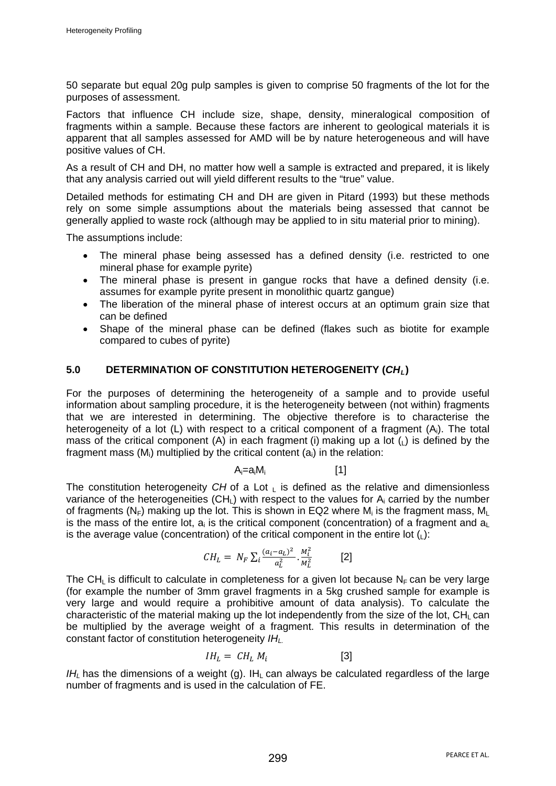50 separate but equal 20g pulp samples is given to comprise 50 fragments of the lot for the purposes of assessment.

Factors that influence CH include size, shape, density, mineralogical composition of fragments within a sample. Because these factors are inherent to geological materials it is apparent that all samples assessed for AMD will be by nature heterogeneous and will have positive values of CH.

As a result of CH and DH, no matter how well a sample is extracted and prepared, it is likely that any analysis carried out will yield different results to the "true" value.

Detailed methods for estimating CH and DH are given in Pitard (1993) but these methods rely on some simple assumptions about the materials being assessed that cannot be generally applied to waste rock (although may be applied to in situ material prior to mining).

The assumptions include:

- The mineral phase being assessed has a defined density (i.e. restricted to one mineral phase for example pyrite)
- The mineral phase is present in gangue rocks that have a defined density (i.e. assumes for example pyrite present in monolithic quartz gangue)
- The liberation of the mineral phase of interest occurs at an optimum grain size that can be defined
- Shape of the mineral phase can be defined (flakes such as biotite for example compared to cubes of pyrite)

## **5.0 DETERMINATION OF CONSTITUTION HETEROGENEITY (***CHL***)**

For the purposes of determining the heterogeneity of a sample and to provide useful information about sampling procedure, it is the heterogeneity between (not within) fragments that we are interested in determining. The objective therefore is to characterise the heterogeneity of a lot  $(L)$  with respect to a critical component of a fragment  $(A<sub>i</sub>)$ . The total mass of the critical component (A) in each fragment (i) making up a lot  $(L)$  is defined by the fragment mass  $(M<sub>i</sub>)$  multiplied by the critical content  $(a<sub>i</sub>)$  in the relation:

$$
A_i = a_i M_i \qquad [1]
$$

The constitution heterogeneity *CH* of a Lot L is defined as the relative and dimensionless variance of the heterogeneities (CH<sub>I</sub>) with respect to the values for  $A_i$  carried by the number of fragments (N<sub>F</sub>) making up the lot. This is shown in EQ2 where M<sub>i</sub> is the fragment mass, M<sub>I</sub> is the mass of the entire lot,  $a_i$  is the critical component (concentration) of a fragment and  $a_l$ is the average value (concentration) of the critical component in the entire lot  $($ <sub>1</sub>):

$$
CH_L = N_F \sum_i \frac{(a_i - a_L)^2}{a_L^2} \cdot \frac{M_i^2}{M_L^2}
$$
 [2]

The CH<sub>L</sub> is difficult to calculate in completeness for a given lot because N<sub>F</sub> can be very large (for example the number of 3mm gravel fragments in a 5kg crushed sample for example is very large and would require a prohibitive amount of data analysis). To calculate the characteristic of the material making up the lot independently from the size of the lot,  $CH<sub>1</sub>$  can be multiplied by the average weight of a fragment. This results in determination of the constant factor of constitution heterogeneity *IHL.*

$$
IH_{L} = CH_{L} M_{i}
$$
 [3]

 $I$ *H<sub>I</sub>* has the dimensions of a weight (g). IH<sub>I</sub> can always be calculated regardless of the large number of fragments and is used in the calculation of FE.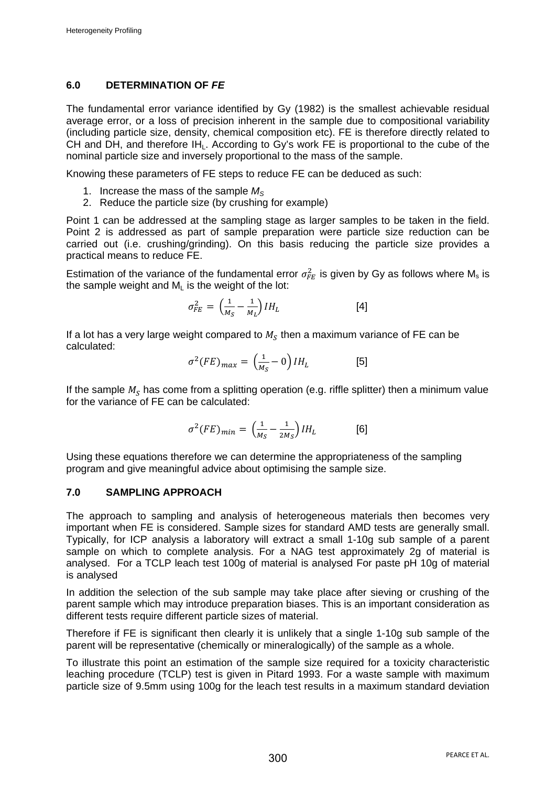# **6.0 DETERMINATION OF** *FE*

The fundamental error variance identified by Gy (1982) is the smallest achievable residual average error, or a loss of precision inherent in the sample due to compositional variability (including particle size, density, chemical composition etc). FE is therefore directly related to CH and DH, and therefore  $IH<sub>L</sub>$ . According to Gy's work FE is proportional to the cube of the nominal particle size and inversely proportional to the mass of the sample.

Knowing these parameters of FE steps to reduce FE can be deduced as such:

- 1. Increase the mass of the sample  $M<sub>S</sub>$
- 2. Reduce the particle size (by crushing for example)

Point 1 can be addressed at the sampling stage as larger samples to be taken in the field. Point 2 is addressed as part of sample preparation were particle size reduction can be carried out (i.e. crushing/grinding). On this basis reducing the particle size provides a practical means to reduce FE.

Estimation of the variance of the fundamental error  $\sigma_{FE}^2$  is given by Gy as follows where M<sub>s</sub> is the sample weight and  $M<sub>1</sub>$  is the weight of the lot:

$$
\sigma_{FE}^2 = \left(\frac{1}{M_S} - \frac{1}{M_L}\right) I H_L \tag{4}
$$

If a lot has a very large weight compared to  $M_s$  then a maximum variance of FE can be calculated:

$$
\sigma^2 (FE)_{max} = \left(\frac{1}{M_S} - 0\right) I H_L \tag{5}
$$

If the sample  $M_s$  has come from a splitting operation (e.g. riffle splitter) then a minimum value for the variance of FE can be calculated:

$$
\sigma^2 (FE)_{min} = \left(\frac{1}{M_S} - \frac{1}{2M_S}\right) I H_L \tag{6}
$$

Using these equations therefore we can determine the appropriateness of the sampling program and give meaningful advice about optimising the sample size.

### **7.0 SAMPLING APPROACH**

The approach to sampling and analysis of heterogeneous materials then becomes very important when FE is considered. Sample sizes for standard AMD tests are generally small. Typically, for ICP analysis a laboratory will extract a small 1-10g sub sample of a parent sample on which to complete analysis. For a NAG test approximately 2g of material is analysed. For a TCLP leach test 100g of material is analysed For paste pH 10g of material is analysed

In addition the selection of the sub sample may take place after sieving or crushing of the parent sample which may introduce preparation biases. This is an important consideration as different tests require different particle sizes of material.

Therefore if FE is significant then clearly it is unlikely that a single 1-10g sub sample of the parent will be representative (chemically or mineralogically) of the sample as a whole.

To illustrate this point an estimation of the sample size required for a toxicity characteristic leaching procedure (TCLP) test is given in Pitard 1993. For a waste sample with maximum particle size of 9.5mm using 100g for the leach test results in a maximum standard deviation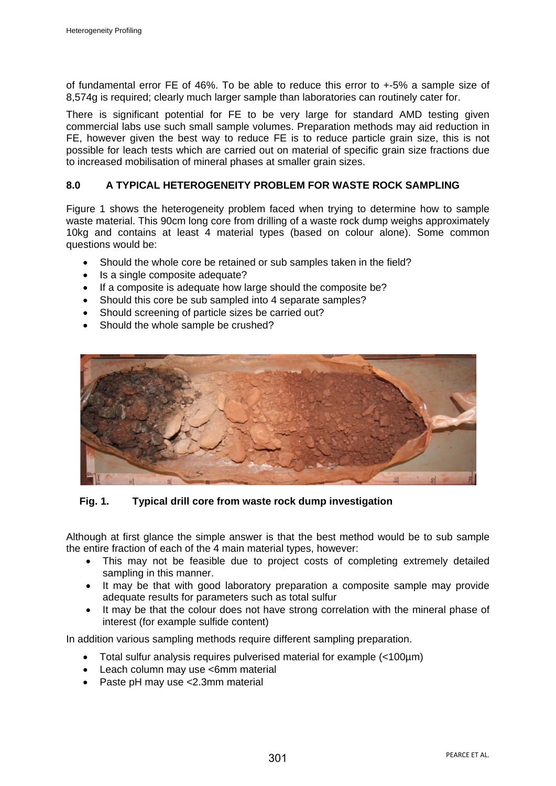of fundamental error FE of 46%. To be able to reduce this error to +-5% a sample size of 8,574g is required; clearly much larger sample than laboratories can routinely cater for.

There is significant potential for FE to be very large for standard AMD testing given commercial labs use such small sample volumes. Preparation methods may aid reduction in FE, however given the best way to reduce FE is to reduce particle grain size, this is not possible for leach tests which are carried out on material of specific grain size fractions due to increased mobilisation of mineral phases at smaller grain sizes.

### **8.0 A TYPICAL HETEROGENEITY PROBLEM FOR WASTE ROCK SAMPLING**

Figure 1 shows the heterogeneity problem faced when trying to determine how to sample waste material. This 90cm long core from drilling of a waste rock dump weighs approximately 10kg and contains at least 4 material types (based on colour alone). Some common questions would be:

- Should the whole core be retained or sub samples taken in the field?
- Is a single composite adequate?
- If a composite is adequate how large should the composite be?
- Should this core be sub sampled into 4 separate samples?
- Should screening of particle sizes be carried out?
- Should the whole sample be crushed?



**Fig. 1. Typical drill core from waste rock dump investigation**

Although at first glance the simple answer is that the best method would be to sub sample the entire fraction of each of the 4 main material types, however:

- This may not be feasible due to project costs of completing extremely detailed sampling in this manner.
- It may be that with good laboratory preparation a composite sample may provide adequate results for parameters such as total sulfur
- It may be that the colour does not have strong correlation with the mineral phase of interest (for example sulfide content)

In addition various sampling methods require different sampling preparation.

- Total sulfur analysis requires pulverised material for example (<100µm)
- Leach column may use <6mm material
- Paste pH may use <2.3mm material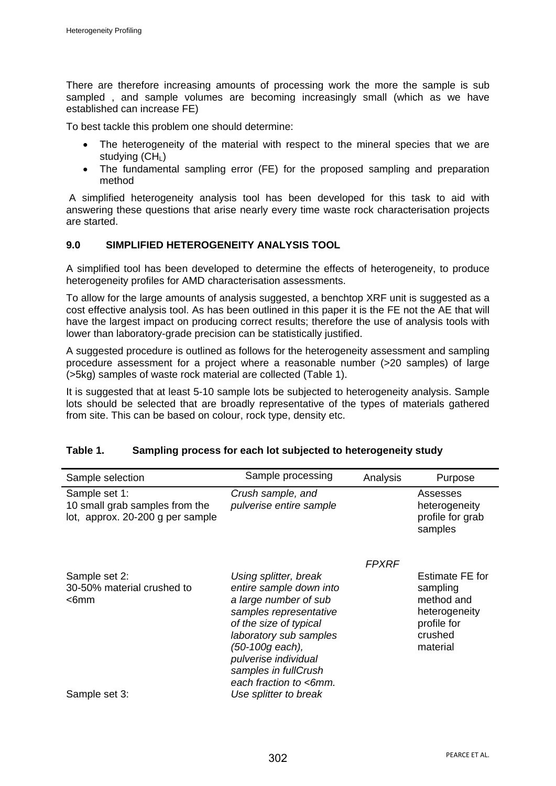There are therefore increasing amounts of processing work the more the sample is sub sampled , and sample volumes are becoming increasingly small (which as we have established can increase FE)

To best tackle this problem one should determine:

- The heterogeneity of the material with respect to the mineral species that we are studying  $(CH<sub>1</sub>)$
- The fundamental sampling error (FE) for the proposed sampling and preparation method

A simplified heterogeneity analysis tool has been developed for this task to aid with answering these questions that arise nearly every time waste rock characterisation projects are started.

### **9.0 SIMPLIFIED HETEROGENEITY ANALYSIS TOOL**

A simplified tool has been developed to determine the effects of heterogeneity, to produce heterogeneity profiles for AMD characterisation assessments.

To allow for the large amounts of analysis suggested, a benchtop XRF unit is suggested as a cost effective analysis tool. As has been outlined in this paper it is the FE not the AE that will have the largest impact on producing correct results; therefore the use of analysis tools with lower than laboratory-grade precision can be statistically justified.

A suggested procedure is outlined as follows for the heterogeneity assessment and sampling procedure assessment for a project where a reasonable number (>20 samples) of large (>5kg) samples of waste rock material are collected (Table 1).

It is suggested that at least 5-10 sample lots be subjected to heterogeneity analysis. Sample lots should be selected that are broadly representative of the types of materials gathered from site. This can be based on colour, rock type, density etc.

| Sample selection                                                                    | Sample processing                                                                                                                                                                                                                                                             | Analysis     | Purpose                                                                                          |
|-------------------------------------------------------------------------------------|-------------------------------------------------------------------------------------------------------------------------------------------------------------------------------------------------------------------------------------------------------------------------------|--------------|--------------------------------------------------------------------------------------------------|
| Sample set 1:<br>10 small grab samples from the<br>lot, approx. 20-200 g per sample | Crush sample, and<br>pulverise entire sample                                                                                                                                                                                                                                  |              | Assesses<br>heterogeneity<br>profile for grab<br>samples                                         |
| Sample set 2:<br>30-50% material crushed to<br>$<$ 6mm<br>Sample set 3:             | Using splitter, break<br>entire sample down into<br>a large number of sub<br>samples representative<br>of the size of typical<br>laboratory sub samples<br>(50-100g each),<br>pulverise individual<br>samples in fullCrush<br>each fraction to <6mm.<br>Use splitter to break | <b>FPXRF</b> | Estimate FE for<br>sampling<br>method and<br>heterogeneity<br>profile for<br>crushed<br>material |

# **Table 1. Sampling process for each lot subjected to heterogeneity study**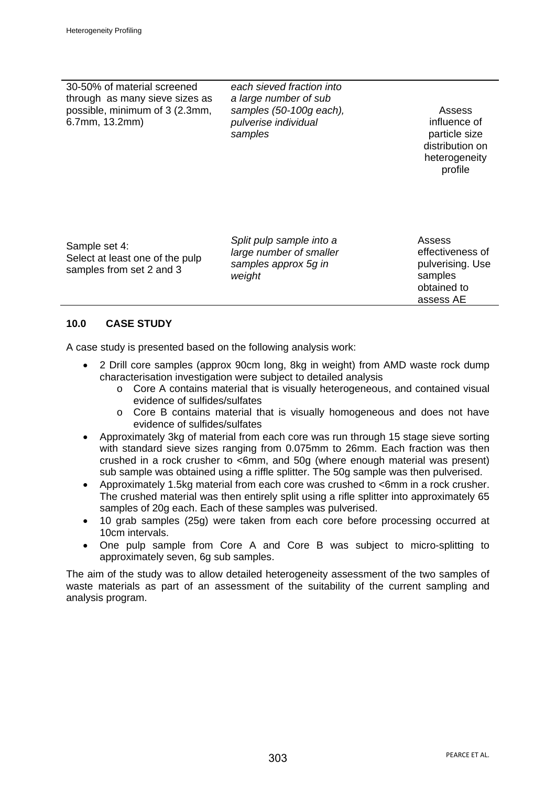30-50% of material screened through as many sieve sizes as possible, minimum of 3 (2.3mm, 6.7mm, 13.2mm)

*each sieved fraction into a large number of sub samples (50-100g each), pulverise individual samples*

Assess influence of particle size distribution on heterogeneity profile

Sample set 4: Select at least one of the pulp samples from set 2 and 3

*Split pulp sample into a large number of smaller samples approx 5g in weight*

Assess effectiveness of pulverising. Use samples obtained to assess AE

# **10.0 CASE STUDY**

A case study is presented based on the following analysis work:

- 2 Drill core samples (approx 90cm long, 8kg in weight) from AMD waste rock dump characterisation investigation were subject to detailed analysis
	- $\circ$  Core A contains material that is visually heterogeneous, and contained visual evidence of sulfides/sulfates
	- o Core B contains material that is visually homogeneous and does not have evidence of sulfides/sulfates
- Approximately 3kg of material from each core was run through 15 stage sieve sorting with standard sieve sizes ranging from 0.075mm to 26mm. Each fraction was then crushed in a rock crusher to <6mm, and 50g (where enough material was present) sub sample was obtained using a riffle splitter. The 50g sample was then pulverised.
- Approximately 1.5kg material from each core was crushed to <6mm in a rock crusher. The crushed material was then entirely split using a rifle splitter into approximately 65 samples of 20g each. Each of these samples was pulverised.
- 10 grab samples (25g) were taken from each core before processing occurred at 10cm intervals.
- One pulp sample from Core A and Core B was subject to micro-splitting to approximately seven, 6g sub samples.

The aim of the study was to allow detailed heterogeneity assessment of the two samples of waste materials as part of an assessment of the suitability of the current sampling and analysis program.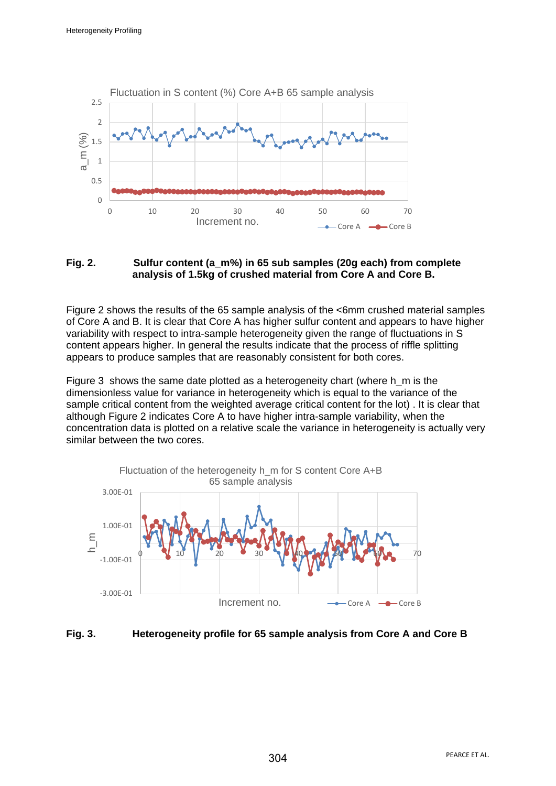

#### **Fig. 2. Sulfur content (a\_m%) in 65 sub samples (20g each) from complete analysis of 1.5kg of crushed material from Core A and Core B.**

Figure 2 shows the results of the 65 sample analysis of the <6mm crushed material samples of Core A and B. It is clear that Core A has higher sulfur content and appears to have higher variability with respect to intra-sample heterogeneity given the range of fluctuations in S content appears higher. In general the results indicate that the process of riffle splitting appears to produce samples that are reasonably consistent for both cores.

Figure 3 shows the same date plotted as a heterogeneity chart (where h\_m is the dimensionless value for variance in heterogeneity which is equal to the variance of the sample critical content from the weighted average critical content for the lot) . It is clear that although Figure 2 indicates Core A to have higher intra-sample variability, when the concentration data is plotted on a relative scale the variance in heterogeneity is actually very similar between the two cores.



### **Fig. 3. Heterogeneity profile for 65 sample analysis from Core A and Core B**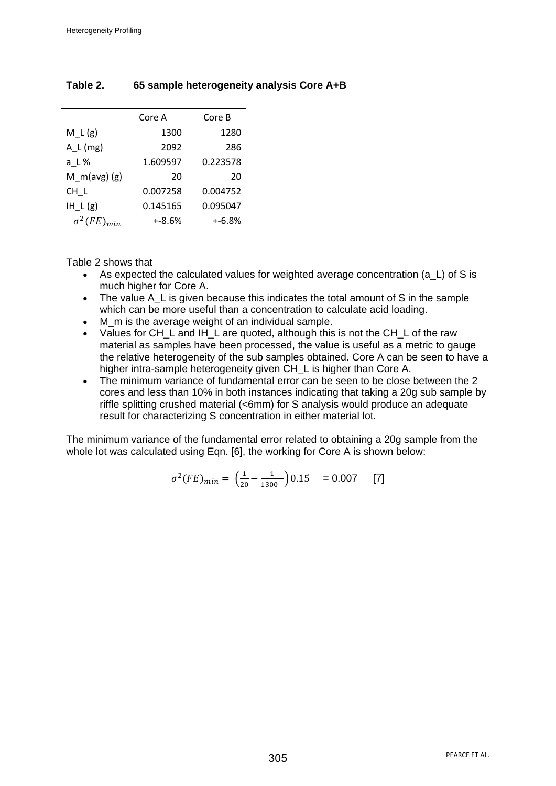|                 | Core A    | Core B    |
|-----------------|-----------|-----------|
| $M_L(g)$        | 1300      | 1280      |
| $A_L(mg)$       | 2092      | 286       |
| a L%            | 1.609597  | 0.223578  |
| $M_m(avg)(g)$   | 20        | 20        |
| CH L            | 0.007258  | 0.004752  |
| $IH_L(g)$       | 0.145165  | 0.095047  |
| $\sigma^2$ (FE) | $+ -8.6%$ | $+ -6.8%$ |

# **Table 2. 65 sample heterogeneity analysis Core A+B**

### Table 2 shows that

- As expected the calculated values for weighted average concentration (a L) of S is much higher for Core A.
- The value A L is given because this indicates the total amount of S in the sample which can be more useful than a concentration to calculate acid loading.
- M m is the average weight of an individual sample.
- Values for CH\_L and IH\_L are quoted, although this is not the CH\_L of the raw material as samples have been processed, the value is useful as a metric to gauge the relative heterogeneity of the sub samples obtained. Core A can be seen to have a higher intra-sample heterogeneity given CH\_L is higher than Core A.
- The minimum variance of fundamental error can be seen to be close between the 2 cores and less than 10% in both instances indicating that taking a 20g sub sample by riffle splitting crushed material (<6mm) for S analysis would produce an adequate result for characterizing S concentration in either material lot.

The minimum variance of the fundamental error related to obtaining a 20g sample from the whole lot was calculated using Eqn. [6], the working for Core A is shown below:

$$
\sigma^2(FE)_{min} = \left(\frac{1}{20} - \frac{1}{1300}\right) 0.15 = 0.007
$$
 [7]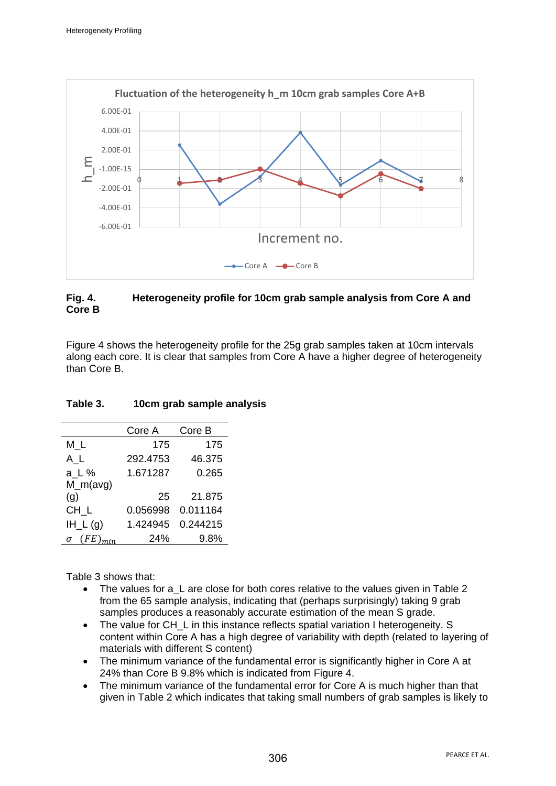

## **Fig. 4. Heterogeneity profile for 10cm grab sample analysis from Core A and Core B**

Figure 4 shows the heterogeneity profile for the 25g grab samples taken at 10cm intervals along each core. It is clear that samples from Core A have a higher degree of heterogeneity than Core B.

# **Table 3. 10cm grab sample analysis**

|              | Core A   | Core B   |
|--------------|----------|----------|
| МL           | 175      | 175      |
| A L          | 292.4753 | 46.375   |
| a_L %        | 1.671287 | 0.265    |
| $M_m(avg)$   |          |          |
| (g)          | 25       | 21.875   |
| $CH_L$       | 0.056998 | 0.011164 |
| $IH_{-}L(g)$ | 1.424945 | 0.244215 |
| F E<br>σ     | 24%      | 9.8%     |

Table 3 shows that:

- The values for a L are close for both cores relative to the values given in Table 2 from the 65 sample analysis, indicating that (perhaps surprisingly) taking 9 grab samples produces a reasonably accurate estimation of the mean S grade.
- The value for CH L in this instance reflects spatial variation I heterogeneity. S content within Core A has a high degree of variability with depth (related to layering of materials with different S content)
- The minimum variance of the fundamental error is significantly higher in Core A at 24% than Core B 9.8% which is indicated from Figure 4.
- The minimum variance of the fundamental error for Core A is much higher than that given in Table 2 which indicates that taking small numbers of grab samples is likely to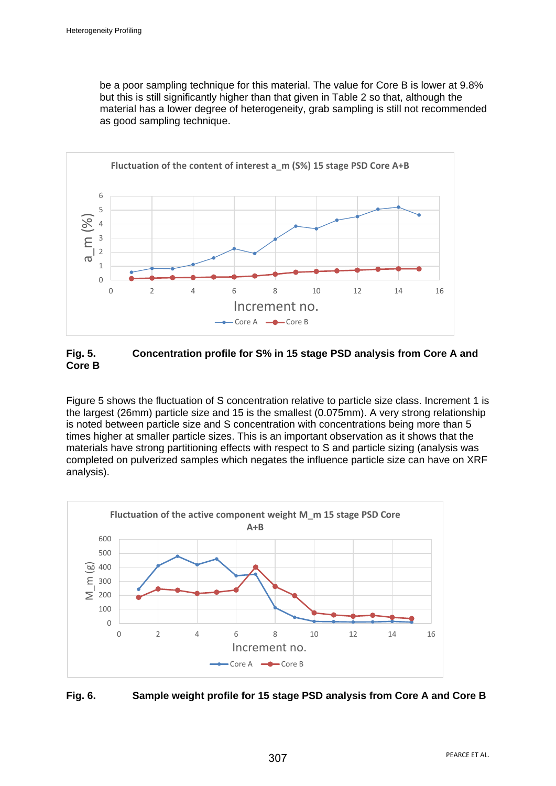be a poor sampling technique for this material. The value for Core B is lower at 9.8% but this is still significantly higher than that given in Table 2 so that, although the material has a lower degree of heterogeneity, grab sampling is still not recommended as good sampling technique.



## **Fig. 5. Concentration profile for S% in 15 stage PSD analysis from Core A and Core B**

Figure 5 shows the fluctuation of S concentration relative to particle size class. Increment 1 is the largest (26mm) particle size and 15 is the smallest (0.075mm). A very strong relationship is noted between particle size and S concentration with concentrations being more than 5 times higher at smaller particle sizes. This is an important observation as it shows that the materials have strong partitioning effects with respect to S and particle sizing (analysis was completed on pulverized samples which negates the influence particle size can have on XRF analysis).



# **Fig. 6. Sample weight profile for 15 stage PSD analysis from Core A and Core B**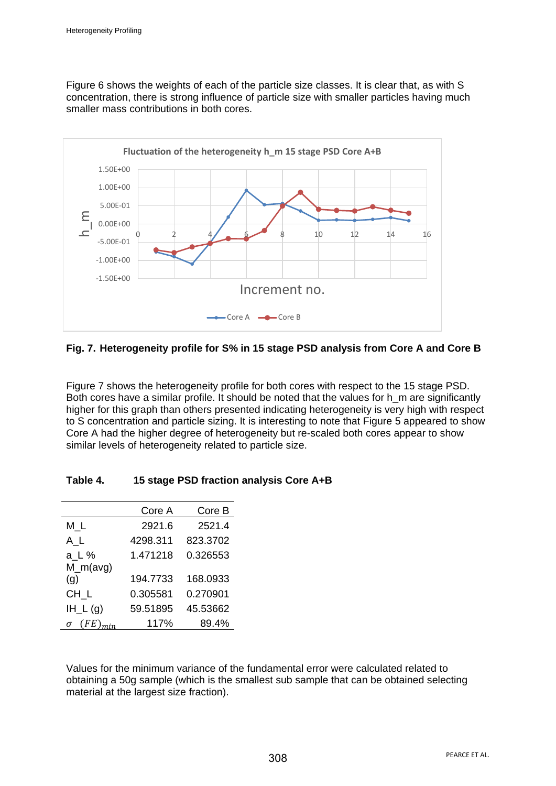Figure 6 shows the weights of each of the particle size classes. It is clear that, as with S concentration, there is strong influence of particle size with smaller particles having much smaller mass contributions in both cores.



## **Fig. 7. Heterogeneity profile for S% in 15 stage PSD analysis from Core A and Core B**

Figure 7 shows the heterogeneity profile for both cores with respect to the 15 stage PSD. Both cores have a similar profile. It should be noted that the values for h\_m are significantly higher for this graph than others presented indicating heterogeneity is very high with respect to S concentration and particle sizing. It is interesting to note that Figure 5 appeared to show Core A had the higher degree of heterogeneity but re-scaled both cores appear to show similar levels of heterogeneity related to particle size.

|              | Core A   | Core B   |
|--------------|----------|----------|
| МL           | 2921.6   | 2521.4   |
| $A_L$        | 4298.311 | 823.3702 |
| a_L %        | 1.471218 | 0.326553 |
| $M_m(avg)$   |          |          |
| (g)          | 194.7733 | 168.0933 |
| $CH_L$       | 0.305581 | 0.270901 |
| $IH_{-}L(g)$ | 59.51895 | 45.53662 |
| (FE<br>σ     | 117%     | 89.4%    |

Values for the minimum variance of the fundamental error were calculated related to obtaining a 50g sample (which is the smallest sub sample that can be obtained selecting material at the largest size fraction).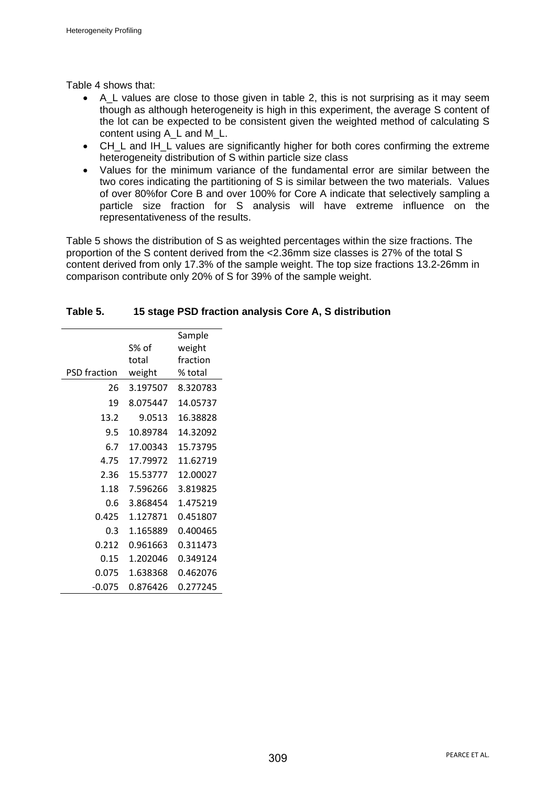Table 4 shows that:

- A L values are close to those given in table 2, this is not surprising as it may seem though as although heterogeneity is high in this experiment, the average S content of the lot can be expected to be consistent given the weighted method of calculating S content using A\_L and M\_L.
- CH\_L and IH\_L values are significantly higher for both cores confirming the extreme heterogeneity distribution of S within particle size class
- Values for the minimum variance of the fundamental error are similar between the two cores indicating the partitioning of S is similar between the two materials. Values of over 80%for Core B and over 100% for Core A indicate that selectively sampling a particle size fraction for S analysis will have extreme influence on the representativeness of the results.

Table 5 shows the distribution of S as weighted percentages within the size fractions. The proportion of the S content derived from the <2.36mm size classes is 27% of the total S content derived from only 17.3% of the sample weight. The top size fractions 13.2-26mm in comparison contribute only 20% of S for 39% of the sample weight.

|                     |          | Sample   |
|---------------------|----------|----------|
|                     | S% of    | weight   |
|                     | total    | fraction |
| <b>PSD</b> fraction | weight   | % total  |
| 26                  | 3.197507 | 8.320783 |
| 19                  | 8.075447 | 14.05737 |
| 13.2                | 9.0513   | 16.38828 |
| 9.5                 | 10.89784 | 14.32092 |
| 6.7                 | 17.00343 | 15.73795 |
| 4.75                | 17.79972 | 11.62719 |
| 2.36                | 15.53777 | 12.00027 |
| 1.18                | 7.596266 | 3.819825 |
| 0.6                 | 3.868454 | 1.475219 |
| 0.425               | 1.127871 | 0.451807 |
| 0.3                 | 1.165889 | 0.400465 |
| 0.212               | 0.961663 | 0.311473 |
| 0.15                | 1.202046 | 0.349124 |
| 0.075               | 1.638368 | 0.462076 |
| -0.075              | 0.876426 | 0.277245 |

### **Table 5. 15 stage PSD fraction analysis Core A, S distribution**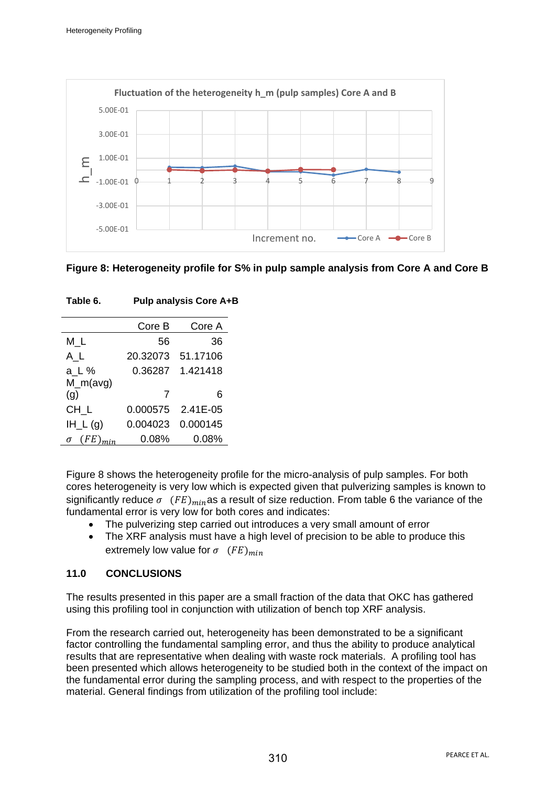

|  |  |  |  | Figure 8: Heterogeneity profile for S% in pulp sample analysis from Core A and Core B |  |  |
|--|--|--|--|---------------------------------------------------------------------------------------|--|--|
|--|--|--|--|---------------------------------------------------------------------------------------|--|--|

| Core B   | Core A   |
|----------|----------|
| 56       | 36       |
| 20.32073 | 51.17106 |
| 0.36287  | 1.421418 |
|          |          |
| 7        | 6        |
| 0.000575 | 2.41E-05 |
| 0.004023 | 0.000145 |
| 0.08%    | $0.08\%$ |
|          |          |

| Table 6. | <b>Pulp analysis Core A+B</b> |  |
|----------|-------------------------------|--|
|          |                               |  |

Figure 8 shows the heterogeneity profile for the micro-analysis of pulp samples. For both cores heterogeneity is very low which is expected given that pulverizing samples is known to significantly reduce  $\sigma$  (FE)<sub>min</sub>as a result of size reduction. From table 6 the variance of the fundamental error is very low for both cores and indicates:

- The pulverizing step carried out introduces a very small amount of error
- The XRF analysis must have a high level of precision to be able to produce this extremely low value for  $\sigma$   $(FE)_{min}$

# **11.0 CONCLUSIONS**

The results presented in this paper are a small fraction of the data that OKC has gathered using this profiling tool in conjunction with utilization of bench top XRF analysis.

From the research carried out, heterogeneity has been demonstrated to be a significant factor controlling the fundamental sampling error, and thus the ability to produce analytical results that are representative when dealing with waste rock materials. A profiling tool has been presented which allows heterogeneity to be studied both in the context of the impact on the fundamental error during the sampling process, and with respect to the properties of the material. General findings from utilization of the profiling tool include: